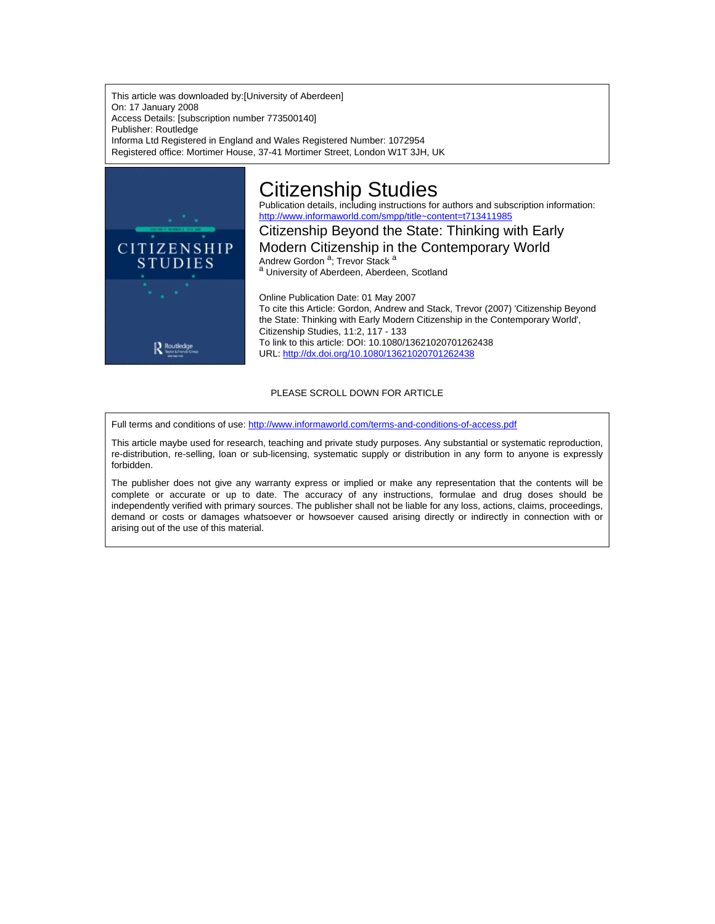This article was downloaded by:[University of Aberdeen] On: 17 January 2008 Access Details: [subscription number 773500140] Publisher: Routledge Informa Ltd Registered in England and Wales Registered Number: 1072954 Registered office: Mortimer House, 37-41 Mortimer Street, London W1T 3JH, UK



# Citizenship Studies

Publication details, including instructions for authors and subscription information: <http://www.informaworld.com/smpp/title~content=t713411985>

Citizenship Beyond the State: Thinking with Early Modern Citizenship in the Contemporary World

Andrew Gordon <sup>a</sup>; Trevor Stack <sup>a</sup> a University of Aberdeen, Aberdeen, Scotland

Online Publication Date: 01 May 2007 To cite this Article: Gordon, Andrew and Stack, Trevor (2007) 'Citizenship Beyond the State: Thinking with Early Modern Citizenship in the Contemporary World', Citizenship Studies, 11:2, 117 - 133 To link to this article: DOI: 10.1080/13621020701262438 URL: <http://dx.doi.org/10.1080/13621020701262438>

# PLEASE SCROLL DOWN FOR ARTICLE

Full terms and conditions of use: <http://www.informaworld.com/terms-and-conditions-of-access.pdf>

This article maybe used for research, teaching and private study purposes. Any substantial or systematic reproduction, re-distribution, re-selling, loan or sub-licensing, systematic supply or distribution in any form to anyone is expressly forbidden.

The publisher does not give any warranty express or implied or make any representation that the contents will be complete or accurate or up to date. The accuracy of any instructions, formulae and drug doses should be independently verified with primary sources. The publisher shall not be liable for any loss, actions, claims, proceedings, demand or costs or damages whatsoever or howsoever caused arising directly or indirectly in connection with or arising out of the use of this material.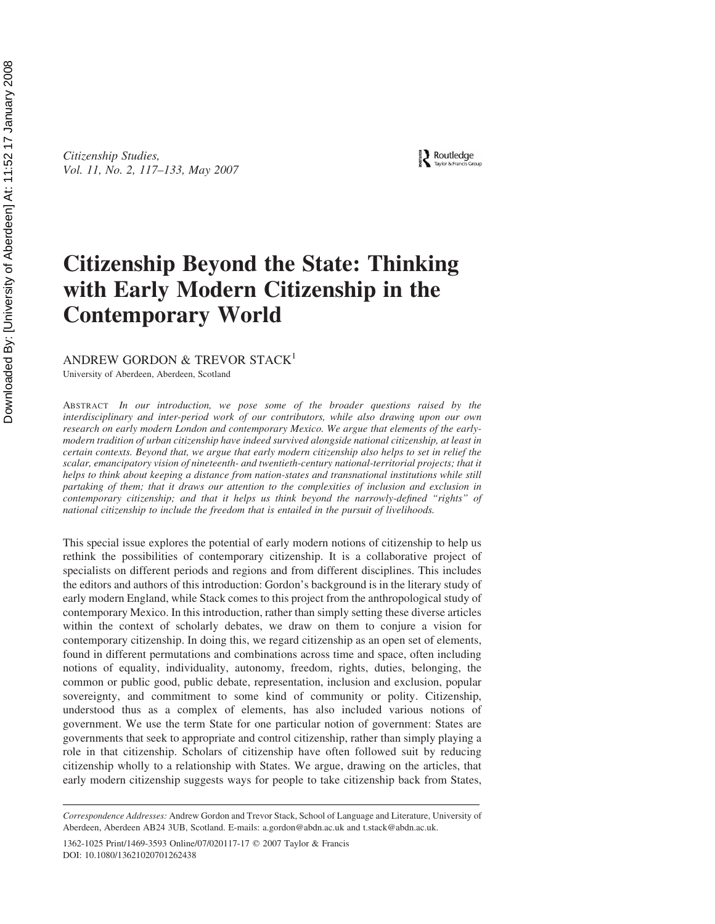Citizenship Studies, Vol. 11, No. 2, 117–133, May 2007 Routledge

# Citizenship Beyond the State: Thinking with Early Modern Citizenship in the Contemporary World

# ANDREW GORDON & TREVOR STACK<sup>1</sup>

University of Aberdeen, Aberdeen, Scotland

ABSTRACT In our introduction, we pose some of the broader questions raised by the interdisciplinary and inter-period work of our contributors, while also drawing upon our own research on early modern London and contemporary Mexico. We argue that elements of the earlymodern tradition of urban citizenship have indeed survived alongside national citizenship, at least in certain contexts. Beyond that, we argue that early modern citizenship also helps to set in relief the scalar, emancipatory vision of nineteenth- and twentieth-century national-territorial projects; that it helps to think about keeping a distance from nation-states and transnational institutions while still partaking of them; that it draws our attention to the complexities of inclusion and exclusion in contemporary citizenship; and that it helps us think beyond the narrowly-defined "rights" of national citizenship to include the freedom that is entailed in the pursuit of livelihoods.

This special issue explores the potential of early modern notions of citizenship to help us rethink the possibilities of contemporary citizenship. It is a collaborative project of specialists on different periods and regions and from different disciplines. This includes the editors and authors of this introduction: Gordon's background is in the literary study of early modern England, while Stack comes to this project from the anthropological study of contemporary Mexico. In this introduction, rather than simply setting these diverse articles within the context of scholarly debates, we draw on them to conjure a vision for contemporary citizenship. In doing this, we regard citizenship as an open set of elements, found in different permutations and combinations across time and space, often including notions of equality, individuality, autonomy, freedom, rights, duties, belonging, the common or public good, public debate, representation, inclusion and exclusion, popular sovereignty, and commitment to some kind of community or polity. Citizenship, understood thus as a complex of elements, has also included various notions of government. We use the term State for one particular notion of government: States are governments that seek to appropriate and control citizenship, rather than simply playing a role in that citizenship. Scholars of citizenship have often followed suit by reducing citizenship wholly to a relationship with States. We argue, drawing on the articles, that early modern citizenship suggests ways for people to take citizenship back from States,

Correspondence Addresses: Andrew Gordon and Trevor Stack, School of Language and Literature, University of Aberdeen, Aberdeen AB24 3UB, Scotland. E-mails: a.gordon@abdn.ac.uk and t.stack@abdn.ac.uk.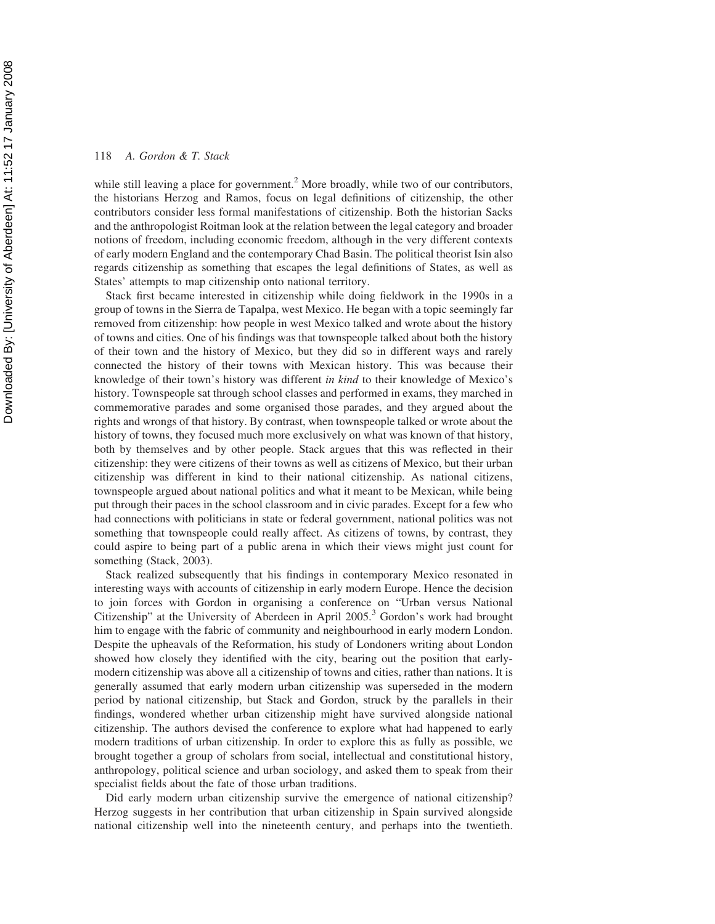while still leaving a place for government.<sup>2</sup> More broadly, while two of our contributors, the historians Herzog and Ramos, focus on legal definitions of citizenship, the other contributors consider less formal manifestations of citizenship. Both the historian Sacks and the anthropologist Roitman look at the relation between the legal category and broader notions of freedom, including economic freedom, although in the very different contexts of early modern England and the contemporary Chad Basin. The political theorist Isin also regards citizenship as something that escapes the legal definitions of States, as well as States' attempts to map citizenship onto national territory.

Stack first became interested in citizenship while doing fieldwork in the 1990s in a group of towns in the Sierra de Tapalpa, west Mexico. He began with a topic seemingly far removed from citizenship: how people in west Mexico talked and wrote about the history of towns and cities. One of his findings was that townspeople talked about both the history of their town and the history of Mexico, but they did so in different ways and rarely connected the history of their towns with Mexican history. This was because their knowledge of their town's history was different in kind to their knowledge of Mexico's history. Townspeople sat through school classes and performed in exams, they marched in commemorative parades and some organised those parades, and they argued about the rights and wrongs of that history. By contrast, when townspeople talked or wrote about the history of towns, they focused much more exclusively on what was known of that history, both by themselves and by other people. Stack argues that this was reflected in their citizenship: they were citizens of their towns as well as citizens of Mexico, but their urban citizenship was different in kind to their national citizenship. As national citizens, townspeople argued about national politics and what it meant to be Mexican, while being put through their paces in the school classroom and in civic parades. Except for a few who had connections with politicians in state or federal government, national politics was not something that townspeople could really affect. As citizens of towns, by contrast, they could aspire to being part of a public arena in which their views might just count for something (Stack, 2003).

Stack realized subsequently that his findings in contemporary Mexico resonated in interesting ways with accounts of citizenship in early modern Europe. Hence the decision to join forces with Gordon in organising a conference on "Urban versus National Citizenship" at the University of Aberdeen in April 2005.<sup>3</sup> Gordon's work had brought him to engage with the fabric of community and neighbourhood in early modern London. Despite the upheavals of the Reformation, his study of Londoners writing about London showed how closely they identified with the city, bearing out the position that earlymodern citizenship was above all a citizenship of towns and cities, rather than nations. It is generally assumed that early modern urban citizenship was superseded in the modern period by national citizenship, but Stack and Gordon, struck by the parallels in their findings, wondered whether urban citizenship might have survived alongside national citizenship. The authors devised the conference to explore what had happened to early modern traditions of urban citizenship. In order to explore this as fully as possible, we brought together a group of scholars from social, intellectual and constitutional history, anthropology, political science and urban sociology, and asked them to speak from their specialist fields about the fate of those urban traditions.

Did early modern urban citizenship survive the emergence of national citizenship? Herzog suggests in her contribution that urban citizenship in Spain survived alongside national citizenship well into the nineteenth century, and perhaps into the twentieth.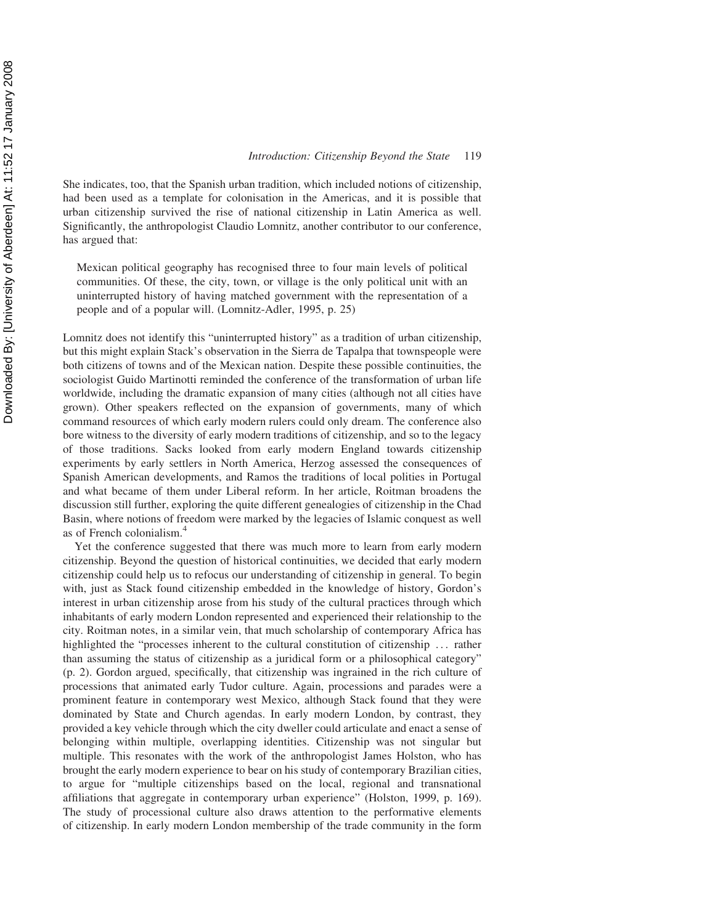She indicates, too, that the Spanish urban tradition, which included notions of citizenship, had been used as a template for colonisation in the Americas, and it is possible that urban citizenship survived the rise of national citizenship in Latin America as well. Significantly, the anthropologist Claudio Lomnitz, another contributor to our conference, has argued that:

Mexican political geography has recognised three to four main levels of political communities. Of these, the city, town, or village is the only political unit with an uninterrupted history of having matched government with the representation of a people and of a popular will. (Lomnitz-Adler, 1995, p. 25)

Lomnitz does not identify this "uninterrupted history" as a tradition of urban citizenship, but this might explain Stack's observation in the Sierra de Tapalpa that townspeople were both citizens of towns and of the Mexican nation. Despite these possible continuities, the sociologist Guido Martinotti reminded the conference of the transformation of urban life worldwide, including the dramatic expansion of many cities (although not all cities have grown). Other speakers reflected on the expansion of governments, many of which command resources of which early modern rulers could only dream. The conference also bore witness to the diversity of early modern traditions of citizenship, and so to the legacy of those traditions. Sacks looked from early modern England towards citizenship experiments by early settlers in North America, Herzog assessed the consequences of Spanish American developments, and Ramos the traditions of local polities in Portugal and what became of them under Liberal reform. In her article, Roitman broadens the discussion still further, exploring the quite different genealogies of citizenship in the Chad Basin, where notions of freedom were marked by the legacies of Islamic conquest as well as of French colonialism.<sup>4</sup>

Yet the conference suggested that there was much more to learn from early modern citizenship. Beyond the question of historical continuities, we decided that early modern citizenship could help us to refocus our understanding of citizenship in general. To begin with, just as Stack found citizenship embedded in the knowledge of history, Gordon's interest in urban citizenship arose from his study of the cultural practices through which inhabitants of early modern London represented and experienced their relationship to the city. Roitman notes, in a similar vein, that much scholarship of contemporary Africa has highlighted the "processes inherent to the cultural constitution of citizenship ... rather than assuming the status of citizenship as a juridical form or a philosophical category" (p. 2). Gordon argued, specifically, that citizenship was ingrained in the rich culture of processions that animated early Tudor culture. Again, processions and parades were a prominent feature in contemporary west Mexico, although Stack found that they were dominated by State and Church agendas. In early modern London, by contrast, they provided a key vehicle through which the city dweller could articulate and enact a sense of belonging within multiple, overlapping identities. Citizenship was not singular but multiple. This resonates with the work of the anthropologist James Holston, who has brought the early modern experience to bear on his study of contemporary Brazilian cities, to argue for "multiple citizenships based on the local, regional and transnational affiliations that aggregate in contemporary urban experience" (Holston, 1999, p. 169). The study of processional culture also draws attention to the performative elements of citizenship. In early modern London membership of the trade community in the form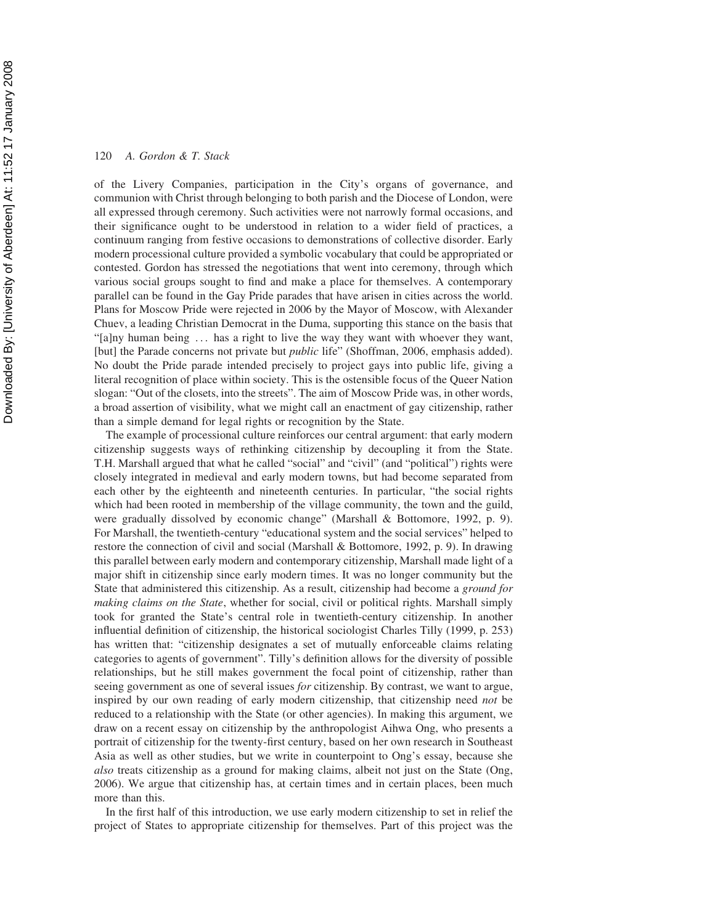of the Livery Companies, participation in the City's organs of governance, and communion with Christ through belonging to both parish and the Diocese of London, were all expressed through ceremony. Such activities were not narrowly formal occasions, and their significance ought to be understood in relation to a wider field of practices, a continuum ranging from festive occasions to demonstrations of collective disorder. Early modern processional culture provided a symbolic vocabulary that could be appropriated or contested. Gordon has stressed the negotiations that went into ceremony, through which various social groups sought to find and make a place for themselves. A contemporary parallel can be found in the Gay Pride parades that have arisen in cities across the world. Plans for Moscow Pride were rejected in 2006 by the Mayor of Moscow, with Alexander Chuev, a leading Christian Democrat in the Duma, supporting this stance on the basis that "[a]ny human being ... has a right to live the way they want with whoever they want, [but] the Parade concerns not private but public life" (Shoffman, 2006, emphasis added). No doubt the Pride parade intended precisely to project gays into public life, giving a literal recognition of place within society. This is the ostensible focus of the Queer Nation slogan: "Out of the closets, into the streets". The aim of Moscow Pride was, in other words, a broad assertion of visibility, what we might call an enactment of gay citizenship, rather than a simple demand for legal rights or recognition by the State.

The example of processional culture reinforces our central argument: that early modern citizenship suggests ways of rethinking citizenship by decoupling it from the State. T.H. Marshall argued that what he called "social" and "civil" (and "political") rights were closely integrated in medieval and early modern towns, but had become separated from each other by the eighteenth and nineteenth centuries. In particular, "the social rights which had been rooted in membership of the village community, the town and the guild, were gradually dissolved by economic change" (Marshall & Bottomore, 1992, p. 9). For Marshall, the twentieth-century "educational system and the social services" helped to restore the connection of civil and social (Marshall & Bottomore, 1992, p. 9). In drawing this parallel between early modern and contemporary citizenship, Marshall made light of a major shift in citizenship since early modern times. It was no longer community but the State that administered this citizenship. As a result, citizenship had become a ground for making claims on the State, whether for social, civil or political rights. Marshall simply took for granted the State's central role in twentieth-century citizenship. In another influential definition of citizenship, the historical sociologist Charles Tilly (1999, p. 253) has written that: "citizenship designates a set of mutually enforceable claims relating categories to agents of government". Tilly's definition allows for the diversity of possible relationships, but he still makes government the focal point of citizenship, rather than seeing government as one of several issues for citizenship. By contrast, we want to argue, inspired by our own reading of early modern citizenship, that citizenship need *not* be reduced to a relationship with the State (or other agencies). In making this argument, we draw on a recent essay on citizenship by the anthropologist Aihwa Ong, who presents a portrait of citizenship for the twenty-first century, based on her own research in Southeast Asia as well as other studies, but we write in counterpoint to Ong's essay, because she also treats citizenship as a ground for making claims, albeit not just on the State (Ong, 2006). We argue that citizenship has, at certain times and in certain places, been much more than this.

In the first half of this introduction, we use early modern citizenship to set in relief the project of States to appropriate citizenship for themselves. Part of this project was the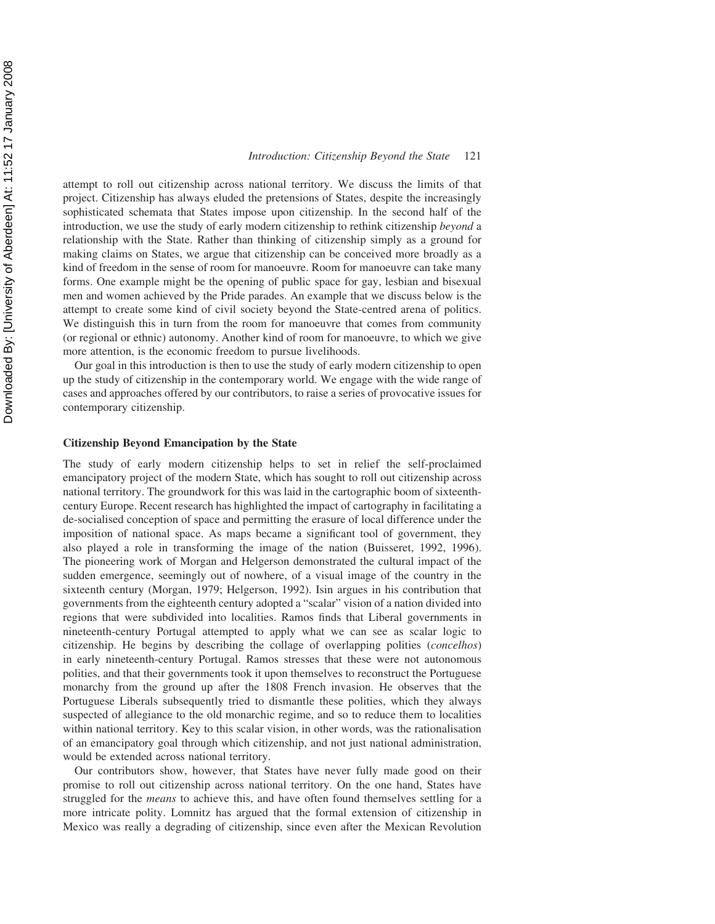attempt to roll out citizenship across national territory. We discuss the limits of that project. Citizenship has always eluded the pretensions of States, despite the increasingly sophisticated schemata that States impose upon citizenship. In the second half of the introduction, we use the study of early modern citizenship to rethink citizenship beyond a relationship with the State. Rather than thinking of citizenship simply as a ground for making claims on States, we argue that citizenship can be conceived more broadly as a kind of freedom in the sense of room for manoeuvre. Room for manoeuvre can take many forms. One example might be the opening of public space for gay, lesbian and bisexual men and women achieved by the Pride parades. An example that we discuss below is the attempt to create some kind of civil society beyond the State-centred arena of politics. We distinguish this in turn from the room for manoeuvre that comes from community (or regional or ethnic) autonomy. Another kind of room for manoeuvre, to which we give more attention, is the economic freedom to pursue livelihoods.

Our goal in this introduction is then to use the study of early modern citizenship to open up the study of citizenship in the contemporary world. We engage with the wide range of cases and approaches offered by our contributors, to raise a series of provocative issues for contemporary citizenship.

#### Citizenship Beyond Emancipation by the State

The study of early modern citizenship helps to set in relief the self-proclaimed emancipatory project of the modern State, which has sought to roll out citizenship across national territory. The groundwork for this was laid in the cartographic boom of sixteenthcentury Europe. Recent research has highlighted the impact of cartography in facilitating a de-socialised conception of space and permitting the erasure of local difference under the imposition of national space. As maps became a significant tool of government, they also played a role in transforming the image of the nation (Buisseret, 1992, 1996). The pioneering work of Morgan and Helgerson demonstrated the cultural impact of the sudden emergence, seemingly out of nowhere, of a visual image of the country in the sixteenth century (Morgan, 1979; Helgerson, 1992). Isin argues in his contribution that governments from the eighteenth century adopted a "scalar" vision of a nation divided into regions that were subdivided into localities. Ramos finds that Liberal governments in nineteenth-century Portugal attempted to apply what we can see as scalar logic to citizenship. He begins by describing the collage of overlapping polities (concelhos) in early nineteenth-century Portugal. Ramos stresses that these were not autonomous polities, and that their governments took it upon themselves to reconstruct the Portuguese monarchy from the ground up after the 1808 French invasion. He observes that the Portuguese Liberals subsequently tried to dismantle these polities, which they always suspected of allegiance to the old monarchic regime, and so to reduce them to localities within national territory. Key to this scalar vision, in other words, was the rationalisation of an emancipatory goal through which citizenship, and not just national administration, would be extended across national territory.

Our contributors show, however, that States have never fully made good on their promise to roll out citizenship across national territory. On the one hand, States have struggled for the *means* to achieve this, and have often found themselves settling for a more intricate polity. Lomnitz has argued that the formal extension of citizenship in Mexico was really a degrading of citizenship, since even after the Mexican Revolution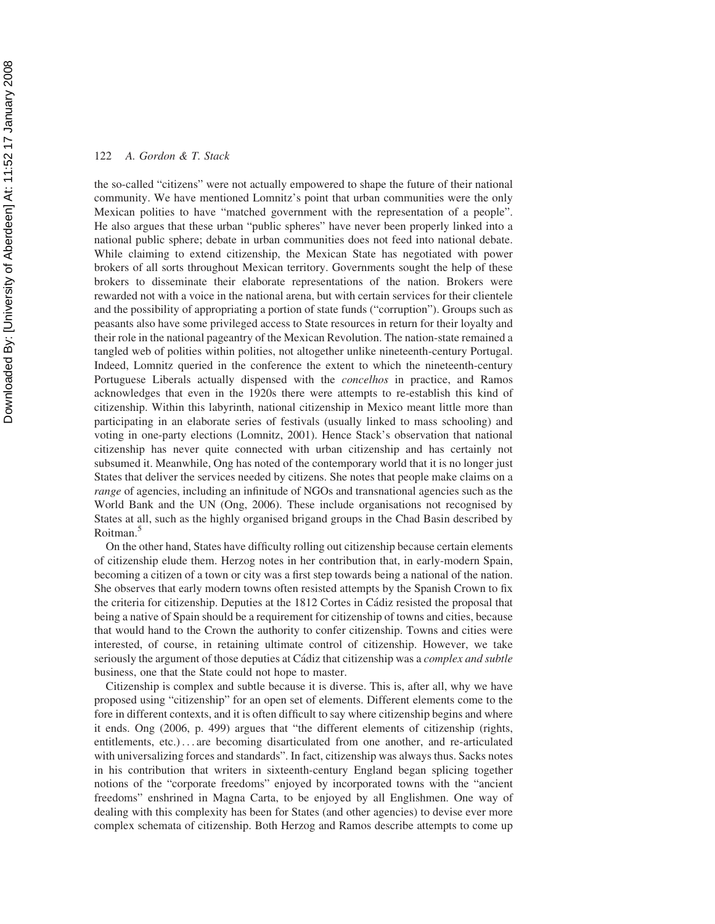the so-called "citizens" were not actually empowered to shape the future of their national community. We have mentioned Lomnitz's point that urban communities were the only Mexican polities to have "matched government with the representation of a people". He also argues that these urban "public spheres" have never been properly linked into a national public sphere; debate in urban communities does not feed into national debate. While claiming to extend citizenship, the Mexican State has negotiated with power brokers of all sorts throughout Mexican territory. Governments sought the help of these brokers to disseminate their elaborate representations of the nation. Brokers were rewarded not with a voice in the national arena, but with certain services for their clientele and the possibility of appropriating a portion of state funds ("corruption"). Groups such as peasants also have some privileged access to State resources in return for their loyalty and their role in the national pageantry of the Mexican Revolution. The nation-state remained a tangled web of polities within polities, not altogether unlike nineteenth-century Portugal. Indeed, Lomnitz queried in the conference the extent to which the nineteenth-century Portuguese Liberals actually dispensed with the concelhos in practice, and Ramos acknowledges that even in the 1920s there were attempts to re-establish this kind of citizenship. Within this labyrinth, national citizenship in Mexico meant little more than participating in an elaborate series of festivals (usually linked to mass schooling) and voting in one-party elections (Lomnitz, 2001). Hence Stack's observation that national citizenship has never quite connected with urban citizenship and has certainly not subsumed it. Meanwhile, Ong has noted of the contemporary world that it is no longer just States that deliver the services needed by citizens. She notes that people make claims on a range of agencies, including an infinitude of NGOs and transnational agencies such as the World Bank and the UN (Ong, 2006). These include organisations not recognised by States at all, such as the highly organised brigand groups in the Chad Basin described by Roitman.<sup>5</sup>

On the other hand, States have difficulty rolling out citizenship because certain elements of citizenship elude them. Herzog notes in her contribution that, in early-modern Spain, becoming a citizen of a town or city was a first step towards being a national of the nation. She observes that early modern towns often resisted attempts by the Spanish Crown to fix the criteria for citizenship. Deputies at the 1812 Cortes in Cádiz resisted the proposal that being a native of Spain should be a requirement for citizenship of towns and cities, because that would hand to the Crown the authority to confer citizenship. Towns and cities were interested, of course, in retaining ultimate control of citizenship. However, we take seriously the argument of those deputies at Cádiz that citizenship was a *complex and subtle* business, one that the State could not hope to master.

Citizenship is complex and subtle because it is diverse. This is, after all, why we have proposed using "citizenship" for an open set of elements. Different elements come to the fore in different contexts, and it is often difficult to say where citizenship begins and where it ends. Ong (2006, p. 499) argues that "the different elements of citizenship (rights, entitlements, etc.) ... are becoming disarticulated from one another, and re-articulated with universalizing forces and standards". In fact, citizenship was always thus. Sacks notes in his contribution that writers in sixteenth-century England began splicing together notions of the "corporate freedoms" enjoyed by incorporated towns with the "ancient freedoms" enshrined in Magna Carta, to be enjoyed by all Englishmen. One way of dealing with this complexity has been for States (and other agencies) to devise ever more complex schemata of citizenship. Both Herzog and Ramos describe attempts to come up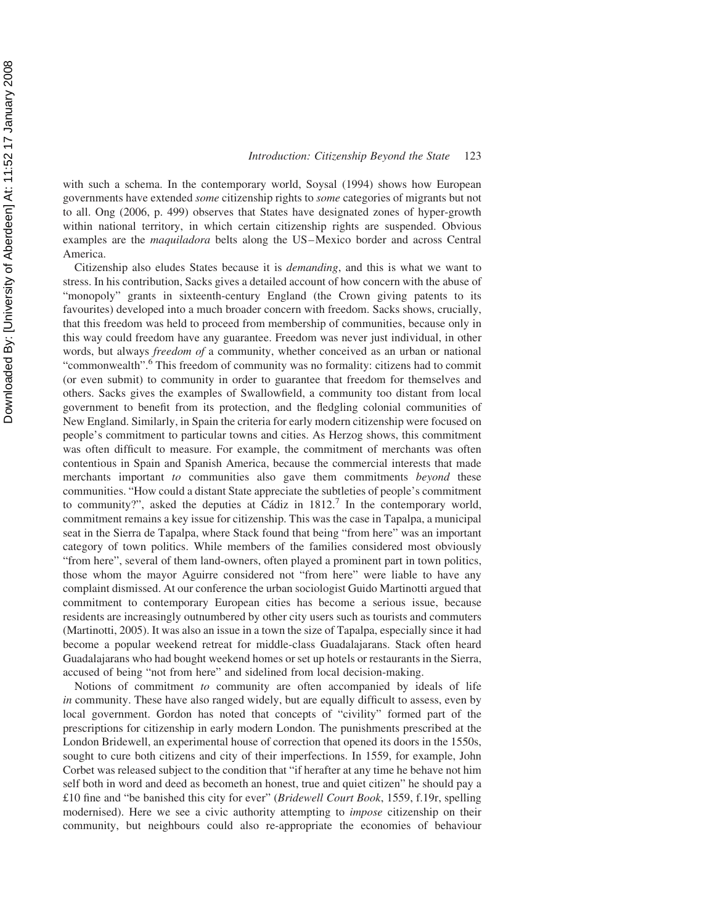with such a schema. In the contemporary world, Soysal (1994) shows how European governments have extended some citizenship rights to some categories of migrants but not to all. Ong (2006, p. 499) observes that States have designated zones of hyper-growth within national territory, in which certain citizenship rights are suspended. Obvious examples are the maquiladora belts along the US–Mexico border and across Central America.

Citizenship also eludes States because it is demanding, and this is what we want to stress. In his contribution, Sacks gives a detailed account of how concern with the abuse of "monopoly" grants in sixteenth-century England (the Crown giving patents to its favourites) developed into a much broader concern with freedom. Sacks shows, crucially, that this freedom was held to proceed from membership of communities, because only in this way could freedom have any guarantee. Freedom was never just individual, in other words, but always *freedom of* a community, whether conceived as an urban or national "commonwealth".<sup>6</sup> This freedom of community was no formality: citizens had to commit (or even submit) to community in order to guarantee that freedom for themselves and others. Sacks gives the examples of Swallowfield, a community too distant from local government to benefit from its protection, and the fledgling colonial communities of New England. Similarly, in Spain the criteria for early modern citizenship were focused on people's commitment to particular towns and cities. As Herzog shows, this commitment was often difficult to measure. For example, the commitment of merchants was often contentious in Spain and Spanish America, because the commercial interests that made merchants important to communities also gave them commitments *beyond* these communities. "How could a distant State appreciate the subtleties of people's commitment to community?", asked the deputies at Cádiz in  $1812$ .<sup>7</sup> In the contemporary world, commitment remains a key issue for citizenship. This was the case in Tapalpa, a municipal seat in the Sierra de Tapalpa, where Stack found that being "from here" was an important category of town politics. While members of the families considered most obviously "from here", several of them land-owners, often played a prominent part in town politics, those whom the mayor Aguirre considered not "from here" were liable to have any complaint dismissed. At our conference the urban sociologist Guido Martinotti argued that commitment to contemporary European cities has become a serious issue, because residents are increasingly outnumbered by other city users such as tourists and commuters (Martinotti, 2005). It was also an issue in a town the size of Tapalpa, especially since it had become a popular weekend retreat for middle-class Guadalajarans. Stack often heard Guadalajarans who had bought weekend homes or set up hotels or restaurants in the Sierra, accused of being "not from here" and sidelined from local decision-making.

Notions of commitment to community are often accompanied by ideals of life in community. These have also ranged widely, but are equally difficult to assess, even by local government. Gordon has noted that concepts of "civility" formed part of the prescriptions for citizenship in early modern London. The punishments prescribed at the London Bridewell, an experimental house of correction that opened its doors in the 1550s, sought to cure both citizens and city of their imperfections. In 1559, for example, John Corbet was released subject to the condition that "if herafter at any time he behave not him self both in word and deed as becometh an honest, true and quiet citizen" he should pay a £10 fine and "be banished this city for ever" (Bridewell Court Book, 1559, f.19r, spelling modernised). Here we see a civic authority attempting to *impose* citizenship on their community, but neighbours could also re-appropriate the economies of behaviour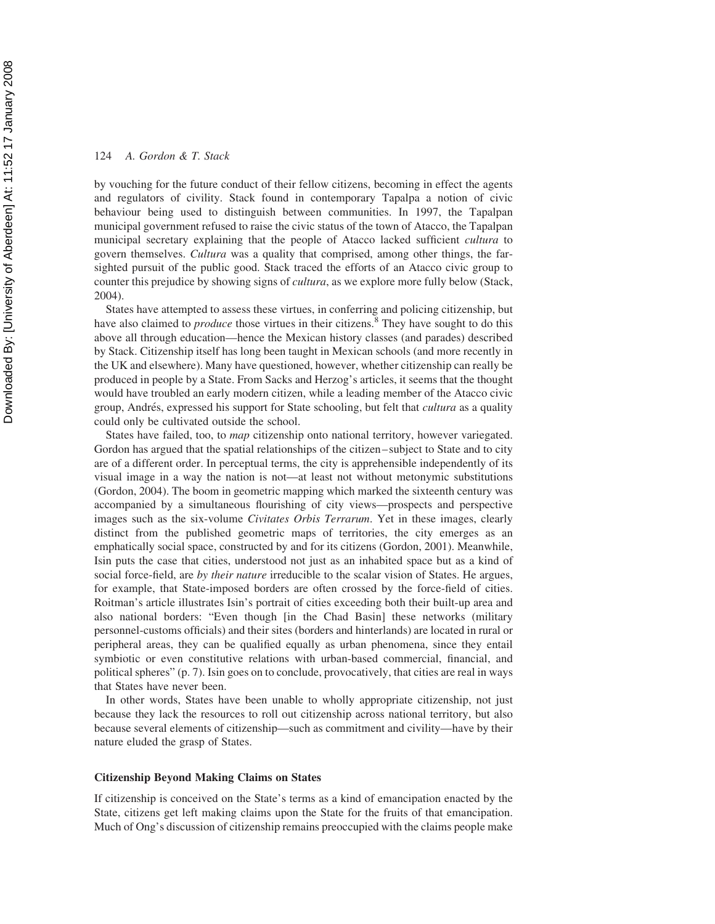by vouching for the future conduct of their fellow citizens, becoming in effect the agents and regulators of civility. Stack found in contemporary Tapalpa a notion of civic behaviour being used to distinguish between communities. In 1997, the Tapalpan municipal government refused to raise the civic status of the town of Atacco, the Tapalpan municipal secretary explaining that the people of Atacco lacked sufficient *cultura* to govern themselves. Cultura was a quality that comprised, among other things, the farsighted pursuit of the public good. Stack traced the efforts of an Atacco civic group to counter this prejudice by showing signs of *cultura*, as we explore more fully below (Stack, 2004).

States have attempted to assess these virtues, in conferring and policing citizenship, but have also claimed to *produce* those virtues in their citizens.<sup>8</sup> They have sought to do this above all through education—hence the Mexican history classes (and parades) described by Stack. Citizenship itself has long been taught in Mexican schools (and more recently in the UK and elsewhere). Many have questioned, however, whether citizenship can really be produced in people by a State. From Sacks and Herzog's articles, it seems that the thought would have troubled an early modern citizen, while a leading member of the Atacco civic group, Andrés, expressed his support for State schooling, but felt that *cultura* as a quality could only be cultivated outside the school.

States have failed, too, to map citizenship onto national territory, however variegated. Gordon has argued that the spatial relationships of the citizen–subject to State and to city are of a different order. In perceptual terms, the city is apprehensible independently of its visual image in a way the nation is not—at least not without metonymic substitutions (Gordon, 2004). The boom in geometric mapping which marked the sixteenth century was accompanied by a simultaneous flourishing of city views—prospects and perspective images such as the six-volume Civitates Orbis Terrarum. Yet in these images, clearly distinct from the published geometric maps of territories, the city emerges as an emphatically social space, constructed by and for its citizens (Gordon, 2001). Meanwhile, Isin puts the case that cities, understood not just as an inhabited space but as a kind of social force-field, are by their nature irreducible to the scalar vision of States. He argues, for example, that State-imposed borders are often crossed by the force-field of cities. Roitman's article illustrates Isin's portrait of cities exceeding both their built-up area and also national borders: "Even though [in the Chad Basin] these networks (military personnel-customs officials) and their sites (borders and hinterlands) are located in rural or peripheral areas, they can be qualified equally as urban phenomena, since they entail symbiotic or even constitutive relations with urban-based commercial, financial, and political spheres" (p. 7). Isin goes on to conclude, provocatively, that cities are real in ways that States have never been.

In other words, States have been unable to wholly appropriate citizenship, not just because they lack the resources to roll out citizenship across national territory, but also because several elements of citizenship—such as commitment and civility—have by their nature eluded the grasp of States.

#### Citizenship Beyond Making Claims on States

If citizenship is conceived on the State's terms as a kind of emancipation enacted by the State, citizens get left making claims upon the State for the fruits of that emancipation. Much of Ong's discussion of citizenship remains preoccupied with the claims people make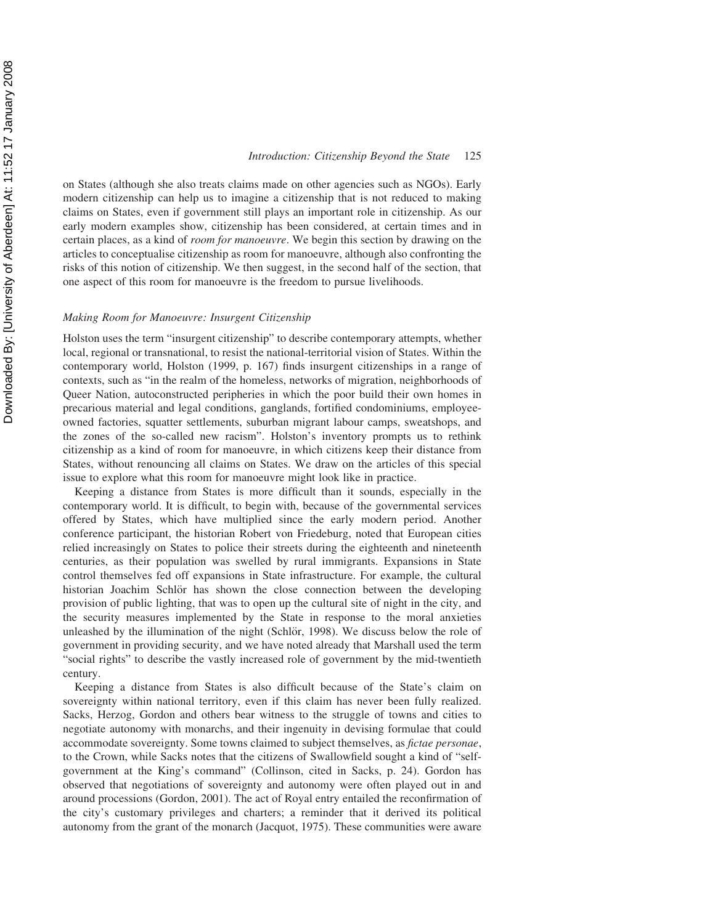on States (although she also treats claims made on other agencies such as NGOs). Early modern citizenship can help us to imagine a citizenship that is not reduced to making claims on States, even if government still plays an important role in citizenship. As our early modern examples show, citizenship has been considered, at certain times and in certain places, as a kind of room for manoeuvre. We begin this section by drawing on the articles to conceptualise citizenship as room for manoeuvre, although also confronting the risks of this notion of citizenship. We then suggest, in the second half of the section, that one aspect of this room for manoeuvre is the freedom to pursue livelihoods.

#### Making Room for Manoeuvre: Insurgent Citizenship

Holston uses the term "insurgent citizenship" to describe contemporary attempts, whether local, regional or transnational, to resist the national-territorial vision of States. Within the contemporary world, Holston (1999, p. 167) finds insurgent citizenships in a range of contexts, such as "in the realm of the homeless, networks of migration, neighborhoods of Queer Nation, autoconstructed peripheries in which the poor build their own homes in precarious material and legal conditions, ganglands, fortified condominiums, employeeowned factories, squatter settlements, suburban migrant labour camps, sweatshops, and the zones of the so-called new racism". Holston's inventory prompts us to rethink citizenship as a kind of room for manoeuvre, in which citizens keep their distance from States, without renouncing all claims on States. We draw on the articles of this special issue to explore what this room for manoeuvre might look like in practice.

Keeping a distance from States is more difficult than it sounds, especially in the contemporary world. It is difficult, to begin with, because of the governmental services offered by States, which have multiplied since the early modern period. Another conference participant, the historian Robert von Friedeburg, noted that European cities relied increasingly on States to police their streets during the eighteenth and nineteenth centuries, as their population was swelled by rural immigrants. Expansions in State control themselves fed off expansions in State infrastructure. For example, the cultural historian Joachim Schlör has shown the close connection between the developing provision of public lighting, that was to open up the cultural site of night in the city, and the security measures implemented by the State in response to the moral anxieties unleashed by the illumination of the night (Schlör, 1998). We discuss below the role of government in providing security, and we have noted already that Marshall used the term "social rights" to describe the vastly increased role of government by the mid-twentieth century.

Keeping a distance from States is also difficult because of the State's claim on sovereignty within national territory, even if this claim has never been fully realized. Sacks, Herzog, Gordon and others bear witness to the struggle of towns and cities to negotiate autonomy with monarchs, and their ingenuity in devising formulae that could accommodate sovereignty. Some towns claimed to subject themselves, as fictae personae, to the Crown, while Sacks notes that the citizens of Swallowfield sought a kind of "selfgovernment at the King's command" (Collinson, cited in Sacks, p. 24). Gordon has observed that negotiations of sovereignty and autonomy were often played out in and around processions (Gordon, 2001). The act of Royal entry entailed the reconfirmation of the city's customary privileges and charters; a reminder that it derived its political autonomy from the grant of the monarch (Jacquot, 1975). These communities were aware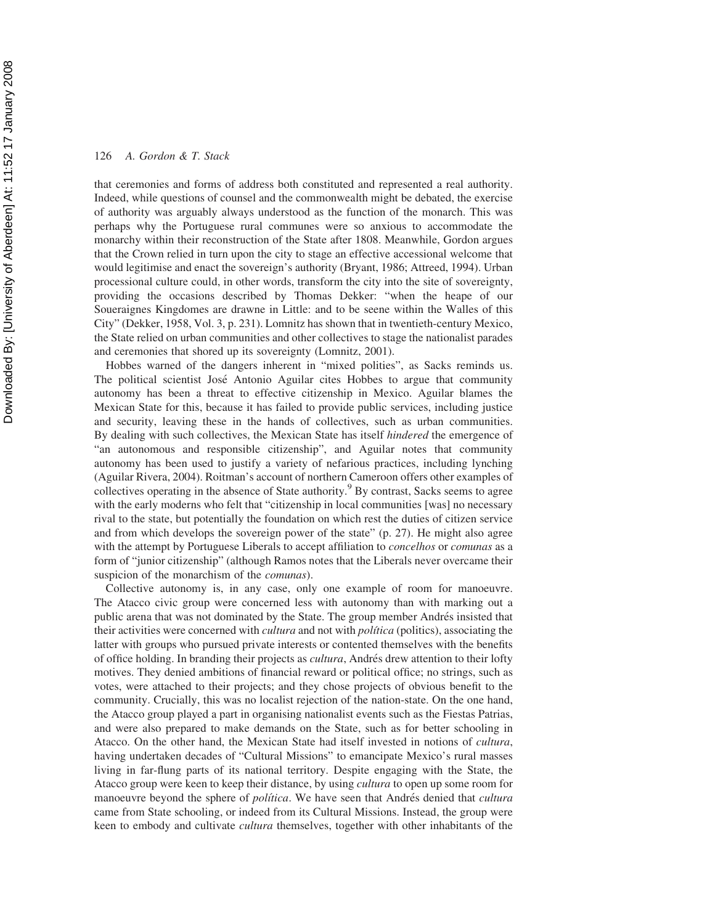that ceremonies and forms of address both constituted and represented a real authority. Indeed, while questions of counsel and the commonwealth might be debated, the exercise of authority was arguably always understood as the function of the monarch. This was perhaps why the Portuguese rural communes were so anxious to accommodate the monarchy within their reconstruction of the State after 1808. Meanwhile, Gordon argues that the Crown relied in turn upon the city to stage an effective accessional welcome that would legitimise and enact the sovereign's authority (Bryant, 1986; Attreed, 1994). Urban processional culture could, in other words, transform the city into the site of sovereignty, providing the occasions described by Thomas Dekker: "when the heape of our Soueraignes Kingdomes are drawne in Little: and to be seene within the Walles of this City" (Dekker, 1958, Vol. 3, p. 231). Lomnitz has shown that in twentieth-century Mexico, the State relied on urban communities and other collectives to stage the nationalist parades and ceremonies that shored up its sovereignty (Lomnitz, 2001).

Hobbes warned of the dangers inherent in "mixed polities", as Sacks reminds us. The political scientist Jose´ Antonio Aguilar cites Hobbes to argue that community autonomy has been a threat to effective citizenship in Mexico. Aguilar blames the Mexican State for this, because it has failed to provide public services, including justice and security, leaving these in the hands of collectives, such as urban communities. By dealing with such collectives, the Mexican State has itself hindered the emergence of "an autonomous and responsible citizenship", and Aguilar notes that community autonomy has been used to justify a variety of nefarious practices, including lynching (Aguilar Rivera, 2004). Roitman's account of northern Cameroon offers other examples of collectives operating in the absence of State authority.<sup>9</sup> By contrast, Sacks seems to agree with the early moderns who felt that "citizenship in local communities [was] no necessary rival to the state, but potentially the foundation on which rest the duties of citizen service and from which develops the sovereign power of the state" (p. 27). He might also agree with the attempt by Portuguese Liberals to accept affiliation to *concelhos* or *comunas* as a form of "junior citizenship" (although Ramos notes that the Liberals never overcame their suspicion of the monarchism of the *comunas*).

Collective autonomy is, in any case, only one example of room for manoeuvre. The Atacco civic group were concerned less with autonomy than with marking out a public arena that was not dominated by the State. The group member Andrés insisted that their activities were concerned with *cultura* and not with *politica* (politics), associating the latter with groups who pursued private interests or contented themselves with the benefits of office holding. In branding their projects as *cultura*, Andrés drew attention to their lofty motives. They denied ambitions of financial reward or political office; no strings, such as votes, were attached to their projects; and they chose projects of obvious benefit to the community. Crucially, this was no localist rejection of the nation-state. On the one hand, the Atacco group played a part in organising nationalist events such as the Fiestas Patrias, and were also prepared to make demands on the State, such as for better schooling in Atacco. On the other hand, the Mexican State had itself invested in notions of cultura, having undertaken decades of "Cultural Missions" to emancipate Mexico's rural masses living in far-flung parts of its national territory. Despite engaging with the State, the Atacco group were keen to keep their distance, by using cultura to open up some room for manoeuvre beyond the sphere of *política*. We have seen that Andrés denied that *cultura* came from State schooling, or indeed from its Cultural Missions. Instead, the group were keen to embody and cultivate cultura themselves, together with other inhabitants of the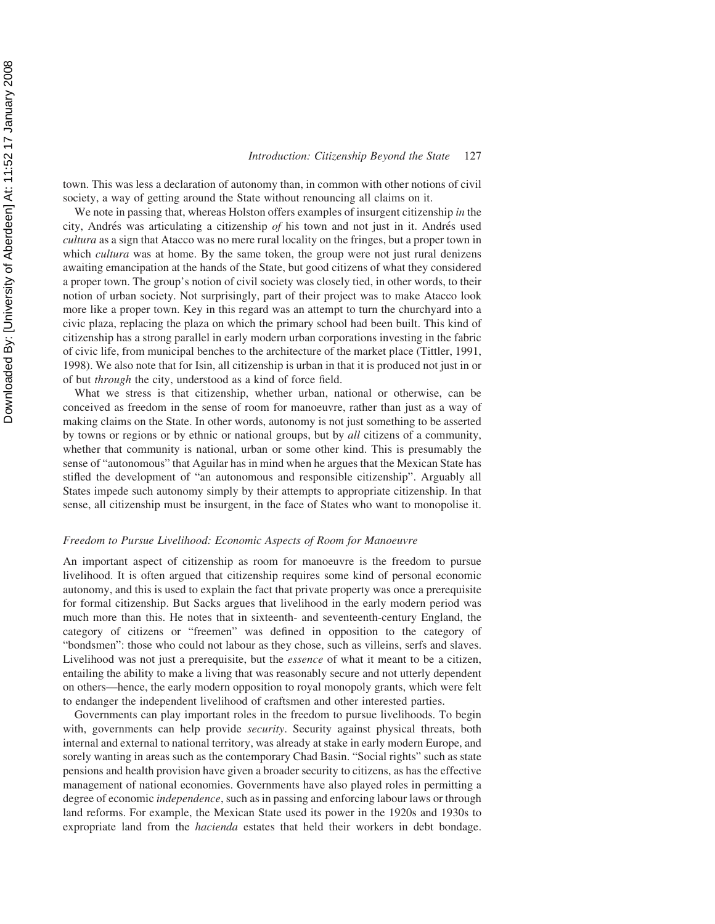town. This was less a declaration of autonomy than, in common with other notions of civil society, a way of getting around the State without renouncing all claims on it.

We note in passing that, whereas Holston offers examples of insurgent citizenship in the city, Andrés was articulating a citizenship of his town and not just in it. Andrés used cultura as a sign that Atacco was no mere rural locality on the fringes, but a proper town in which *cultura* was at home. By the same token, the group were not just rural denizens awaiting emancipation at the hands of the State, but good citizens of what they considered a proper town. The group's notion of civil society was closely tied, in other words, to their notion of urban society. Not surprisingly, part of their project was to make Atacco look more like a proper town. Key in this regard was an attempt to turn the churchyard into a civic plaza, replacing the plaza on which the primary school had been built. This kind of citizenship has a strong parallel in early modern urban corporations investing in the fabric of civic life, from municipal benches to the architecture of the market place (Tittler, 1991, 1998). We also note that for Isin, all citizenship is urban in that it is produced not just in or of but through the city, understood as a kind of force field.

What we stress is that citizenship, whether urban, national or otherwise, can be conceived as freedom in the sense of room for manoeuvre, rather than just as a way of making claims on the State. In other words, autonomy is not just something to be asserted by towns or regions or by ethnic or national groups, but by all citizens of a community, whether that community is national, urban or some other kind. This is presumably the sense of "autonomous" that Aguilar has in mind when he argues that the Mexican State has stifled the development of "an autonomous and responsible citizenship". Arguably all States impede such autonomy simply by their attempts to appropriate citizenship. In that sense, all citizenship must be insurgent, in the face of States who want to monopolise it.

#### Freedom to Pursue Livelihood: Economic Aspects of Room for Manoeuvre

An important aspect of citizenship as room for manoeuvre is the freedom to pursue livelihood. It is often argued that citizenship requires some kind of personal economic autonomy, and this is used to explain the fact that private property was once a prerequisite for formal citizenship. But Sacks argues that livelihood in the early modern period was much more than this. He notes that in sixteenth- and seventeenth-century England, the category of citizens or "freemen" was defined in opposition to the category of "bondsmen": those who could not labour as they chose, such as villeins, serfs and slaves. Livelihood was not just a prerequisite, but the essence of what it meant to be a citizen, entailing the ability to make a living that was reasonably secure and not utterly dependent on others—hence, the early modern opposition to royal monopoly grants, which were felt to endanger the independent livelihood of craftsmen and other interested parties.

Governments can play important roles in the freedom to pursue livelihoods. To begin with, governments can help provide *security*. Security against physical threats, both internal and external to national territory, was already at stake in early modern Europe, and sorely wanting in areas such as the contemporary Chad Basin. "Social rights" such as state pensions and health provision have given a broader security to citizens, as has the effective management of national economies. Governments have also played roles in permitting a degree of economic *independence*, such as in passing and enforcing labour laws or through land reforms. For example, the Mexican State used its power in the 1920s and 1930s to expropriate land from the hacienda estates that held their workers in debt bondage.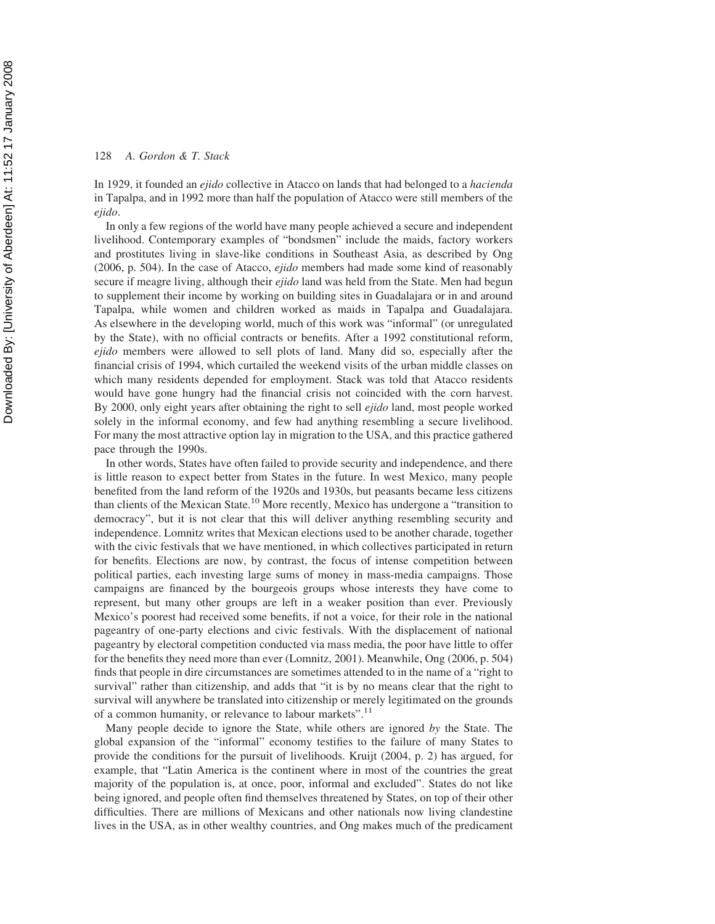In 1929, it founded an *ejido* collective in Atacco on lands that had belonged to a *hacienda* in Tapalpa, and in 1992 more than half the population of Atacco were still members of the ejido.

In only a few regions of the world have many people achieved a secure and independent livelihood. Contemporary examples of "bondsmen" include the maids, factory workers and prostitutes living in slave-like conditions in Southeast Asia, as described by Ong (2006, p. 504). In the case of Atacco,  $ejido$  members had made some kind of reasonably secure if meagre living, although their *ejido* land was held from the State. Men had begun to supplement their income by working on building sites in Guadalajara or in and around Tapalpa, while women and children worked as maids in Tapalpa and Guadalajara. As elsewhere in the developing world, much of this work was "informal" (or unregulated by the State), with no official contracts or benefits. After a 1992 constitutional reform, ejido members were allowed to sell plots of land. Many did so, especially after the financial crisis of 1994, which curtailed the weekend visits of the urban middle classes on which many residents depended for employment. Stack was told that Atacco residents would have gone hungry had the financial crisis not coincided with the corn harvest. By 2000, only eight years after obtaining the right to sell *ejido* land, most people worked solely in the informal economy, and few had anything resembling a secure livelihood. For many the most attractive option lay in migration to the USA, and this practice gathered pace through the 1990s.

In other words, States have often failed to provide security and independence, and there is little reason to expect better from States in the future. In west Mexico, many people benefited from the land reform of the 1920s and 1930s, but peasants became less citizens than clients of the Mexican State.<sup>10</sup> More recently, Mexico has undergone a "transition to democracy", but it is not clear that this will deliver anything resembling security and independence. Lomnitz writes that Mexican elections used to be another charade, together with the civic festivals that we have mentioned, in which collectives participated in return for benefits. Elections are now, by contrast, the focus of intense competition between political parties, each investing large sums of money in mass-media campaigns. Those campaigns are financed by the bourgeois groups whose interests they have come to represent, but many other groups are left in a weaker position than ever. Previously Mexico's poorest had received some benefits, if not a voice, for their role in the national pageantry of one-party elections and civic festivals. With the displacement of national pageantry by electoral competition conducted via mass media, the poor have little to offer for the benefits they need more than ever (Lomnitz, 2001). Meanwhile, Ong (2006, p. 504) finds that people in dire circumstances are sometimes attended to in the name of a "right to survival" rather than citizenship, and adds that "it is by no means clear that the right to survival will anywhere be translated into citizenship or merely legitimated on the grounds of a common humanity, or relevance to labour markets".<sup>11</sup>

Many people decide to ignore the State, while others are ignored by the State. The global expansion of the "informal" economy testifies to the failure of many States to provide the conditions for the pursuit of livelihoods. Kruijt (2004, p. 2) has argued, for example, that "Latin America is the continent where in most of the countries the great majority of the population is, at once, poor, informal and excluded". States do not like being ignored, and people often find themselves threatened by States, on top of their other difficulties. There are millions of Mexicans and other nationals now living clandestine lives in the USA, as in other wealthy countries, and Ong makes much of the predicament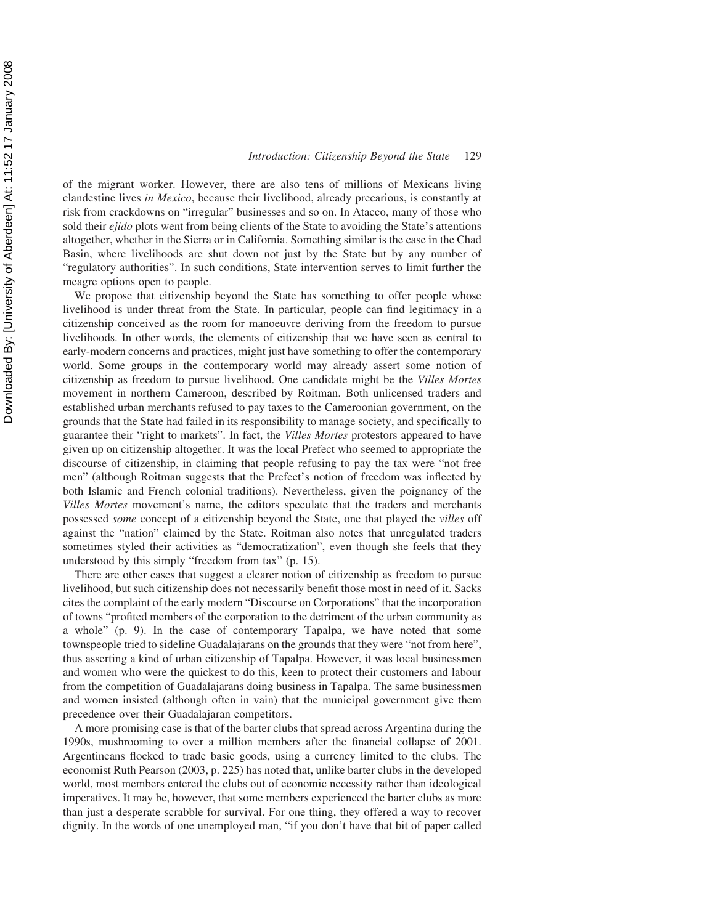of the migrant worker. However, there are also tens of millions of Mexicans living clandestine lives in Mexico, because their livelihood, already precarious, is constantly at risk from crackdowns on "irregular" businesses and so on. In Atacco, many of those who sold their *ejido* plots went from being clients of the State to avoiding the State's attentions altogether, whether in the Sierra or in California. Something similar is the case in the Chad Basin, where livelihoods are shut down not just by the State but by any number of "regulatory authorities". In such conditions, State intervention serves to limit further the meagre options open to people.

We propose that citizenship beyond the State has something to offer people whose livelihood is under threat from the State. In particular, people can find legitimacy in a citizenship conceived as the room for manoeuvre deriving from the freedom to pursue livelihoods. In other words, the elements of citizenship that we have seen as central to early-modern concerns and practices, might just have something to offer the contemporary world. Some groups in the contemporary world may already assert some notion of citizenship as freedom to pursue livelihood. One candidate might be the Villes Mortes movement in northern Cameroon, described by Roitman. Both unlicensed traders and established urban merchants refused to pay taxes to the Cameroonian government, on the grounds that the State had failed in its responsibility to manage society, and specifically to guarantee their "right to markets". In fact, the Villes Mortes protestors appeared to have given up on citizenship altogether. It was the local Prefect who seemed to appropriate the discourse of citizenship, in claiming that people refusing to pay the tax were "not free men" (although Roitman suggests that the Prefect's notion of freedom was inflected by both Islamic and French colonial traditions). Nevertheless, given the poignancy of the Villes Mortes movement's name, the editors speculate that the traders and merchants possessed some concept of a citizenship beyond the State, one that played the villes off against the "nation" claimed by the State. Roitman also notes that unregulated traders sometimes styled their activities as "democratization", even though she feels that they understood by this simply "freedom from tax" (p. 15).

There are other cases that suggest a clearer notion of citizenship as freedom to pursue livelihood, but such citizenship does not necessarily benefit those most in need of it. Sacks cites the complaint of the early modern "Discourse on Corporations" that the incorporation of towns "profited members of the corporation to the detriment of the urban community as a whole" (p. 9). In the case of contemporary Tapalpa, we have noted that some townspeople tried to sideline Guadalajarans on the grounds that they were "not from here", thus asserting a kind of urban citizenship of Tapalpa. However, it was local businessmen and women who were the quickest to do this, keen to protect their customers and labour from the competition of Guadalajarans doing business in Tapalpa. The same businessmen and women insisted (although often in vain) that the municipal government give them precedence over their Guadalajaran competitors.

A more promising case is that of the barter clubs that spread across Argentina during the 1990s, mushrooming to over a million members after the financial collapse of 2001. Argentineans flocked to trade basic goods, using a currency limited to the clubs. The economist Ruth Pearson (2003, p. 225) has noted that, unlike barter clubs in the developed world, most members entered the clubs out of economic necessity rather than ideological imperatives. It may be, however, that some members experienced the barter clubs as more than just a desperate scrabble for survival. For one thing, they offered a way to recover dignity. In the words of one unemployed man, "if you don't have that bit of paper called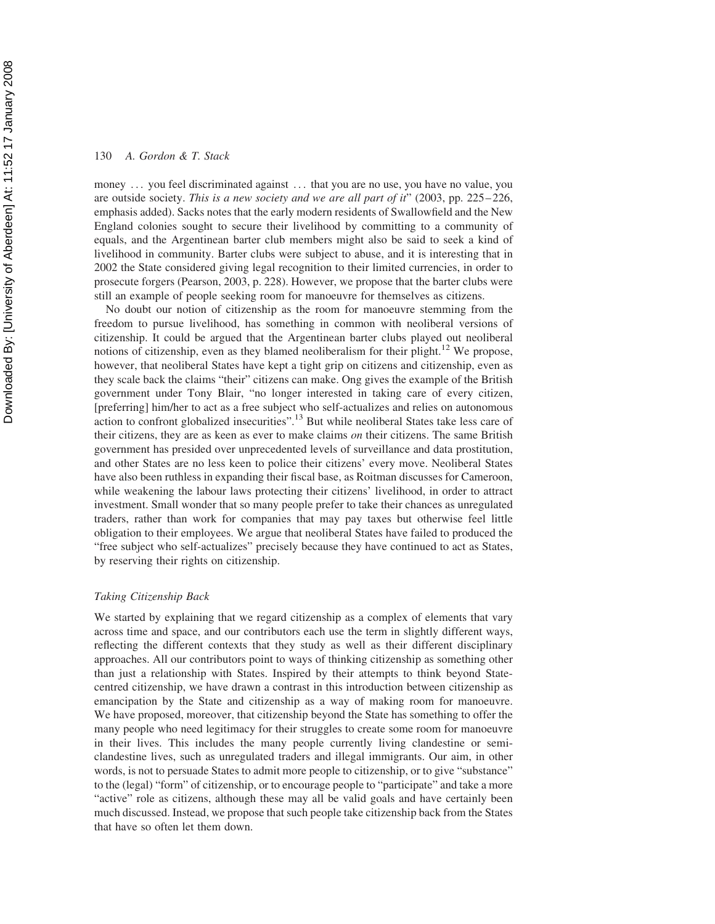money ... you feel discriminated against ... that you are no use, you have no value, you are outside society. This is a new society and we are all part of it"  $(2003, pp. 225-226,$ emphasis added). Sacks notes that the early modern residents of Swallowfield and the New England colonies sought to secure their livelihood by committing to a community of equals, and the Argentinean barter club members might also be said to seek a kind of livelihood in community. Barter clubs were subject to abuse, and it is interesting that in 2002 the State considered giving legal recognition to their limited currencies, in order to prosecute forgers (Pearson, 2003, p. 228). However, we propose that the barter clubs were still an example of people seeking room for manoeuvre for themselves as citizens.

No doubt our notion of citizenship as the room for manoeuvre stemming from the freedom to pursue livelihood, has something in common with neoliberal versions of citizenship. It could be argued that the Argentinean barter clubs played out neoliberal notions of citizenship, even as they blamed neoliberalism for their plight.<sup>12</sup> We propose, however, that neoliberal States have kept a tight grip on citizens and citizenship, even as they scale back the claims "their" citizens can make. Ong gives the example of the British government under Tony Blair, "no longer interested in taking care of every citizen, [preferring] him/her to act as a free subject who self-actualizes and relies on autonomous action to confront globalized insecurities".13 But while neoliberal States take less care of their citizens, they are as keen as ever to make claims on their citizens. The same British government has presided over unprecedented levels of surveillance and data prostitution, and other States are no less keen to police their citizens' every move. Neoliberal States have also been ruthless in expanding their fiscal base, as Roitman discusses for Cameroon, while weakening the labour laws protecting their citizens' livelihood, in order to attract investment. Small wonder that so many people prefer to take their chances as unregulated traders, rather than work for companies that may pay taxes but otherwise feel little obligation to their employees. We argue that neoliberal States have failed to produced the "free subject who self-actualizes" precisely because they have continued to act as States, by reserving their rights on citizenship.

#### Taking Citizenship Back

We started by explaining that we regard citizenship as a complex of elements that vary across time and space, and our contributors each use the term in slightly different ways, reflecting the different contexts that they study as well as their different disciplinary approaches. All our contributors point to ways of thinking citizenship as something other than just a relationship with States. Inspired by their attempts to think beyond Statecentred citizenship, we have drawn a contrast in this introduction between citizenship as emancipation by the State and citizenship as a way of making room for manoeuvre. We have proposed, moreover, that citizenship beyond the State has something to offer the many people who need legitimacy for their struggles to create some room for manoeuvre in their lives. This includes the many people currently living clandestine or semiclandestine lives, such as unregulated traders and illegal immigrants. Our aim, in other words, is not to persuade States to admit more people to citizenship, or to give "substance" to the (legal) "form" of citizenship, or to encourage people to "participate" and take a more "active" role as citizens, although these may all be valid goals and have certainly been much discussed. Instead, we propose that such people take citizenship back from the States that have so often let them down.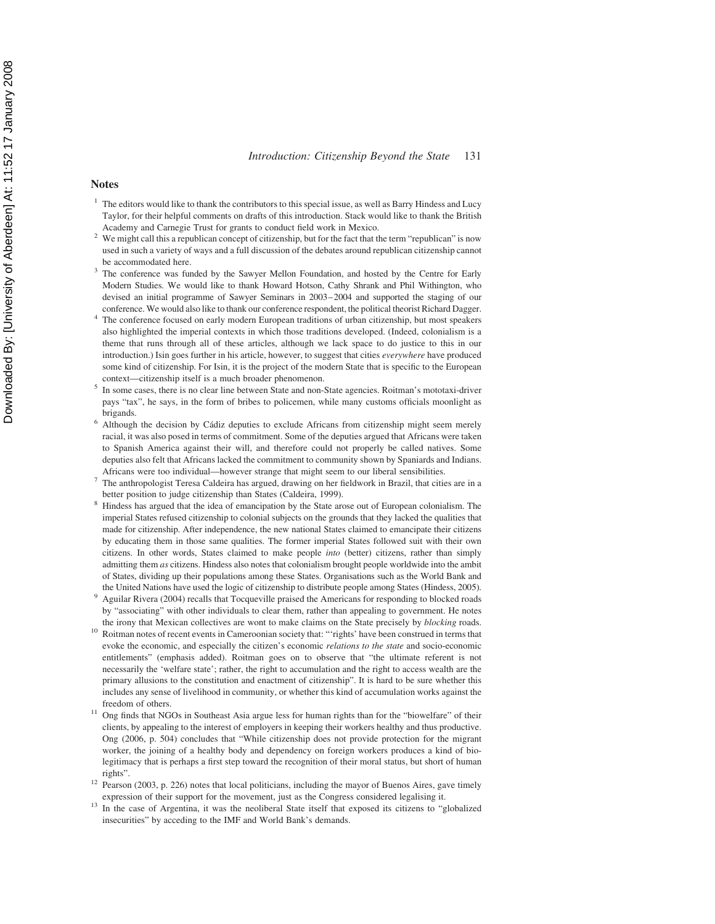#### Notes

- $1$  The editors would like to thank the contributors to this special issue, as well as Barry Hindess and Lucy Taylor, for their helpful comments on drafts of this introduction. Stack would like to thank the British
- Academy and Carnegie Trust for grants to conduct field work in Mexico.<br><sup>2</sup> We might call this a republican concept of citizenship, but for the fact that the term "republican" is now used in such a variety of ways and a full discussion of the debates around republican citizenship cannot
- <sup>3</sup> The conference was funded by the Sawyer Mellon Foundation, and hosted by the Centre for Early Modern Studies. We would like to thank Howard Hotson, Cathy Shrank and Phil Withington, who devised an initial programme of Sawyer Seminars in 2003–2004 and supported the staging of our
- conference. We would also like to thank our conference respondent, the political theorist Richard Dagger. <sup>4</sup> The conference focused on early modern European traditions of urban citizenship, but most speakers also highlighted the imperial contexts in which those traditions developed. (Indeed, colonialism is a theme that runs through all of these articles, although we lack space to do justice to this in our introduction.) Isin goes further in his article, however, to suggest that cities *everywhere* have produced some kind of citizenship. For Isin, it is the project of the modern State that is specific to the European context—citizenship itself is a much broader phenomenon. <sup>5</sup> In some cases, there is no clear line between State and non-State agencies. Roitman's mototaxi-driver
- pays "tax", he says, in the form of bribes to policemen, while many customs officials moonlight as
- brigands. <sup>6</sup> Although the decision by Cádiz deputies to exclude Africans from citizenship might seem merely racial, it was also posed in terms of commitment. Some of the deputies argued that Africans were taken to Spanish America against their will, and therefore could not properly be called natives. Some deputies also felt that Africans lacked the commitment to community shown by Spaniards and Indians.
- Africans were too individual—however strange that might seem to our liberal sensibilities.<br>The anthropologist Teresa Caldeira has argued, drawing on her fieldwork in Brazil, that cities are in a better position to judge citizenship than States (Caldeira, 1999).
- <sup>8</sup> Hindess has argued that the idea of emancipation by the State arose out of European colonialism. The imperial States refused citizenship to colonial subjects on the grounds that they lacked the qualities that made for citizenship. After independence, the new national States claimed to emancipate their citizens by educating them in those same qualities. The former imperial States followed suit with their own citizens. In other words, States claimed to make people into (better) citizens, rather than simply admitting them as citizens. Hindess also notes that colonialism brought people worldwide into the ambit of States, dividing up their populations among these States. Organisations such as the World Bank and
- the United Nations have used the logic of citizenship to distribute people among States (Hindess, 2005). 9 Aguilar Rivera (2004) recalls that Tocqueville praised the Americans for responding to blocked roads by "associating" with other individuals to clear them, rather than appealing to government. He notes the irony that Mexican collectives are wont to make claims on the State precisely by blocking roads.
- <sup>10</sup> Roitman notes of recent events in Cameroonian society that: "'rights' have been construed in terms that evoke the economic, and especially the citizen's economic *relations to the state* and socio-economic entitlements" (emphasis added). Roitman goes on to observe that "the ultimate referent is not necessarily the 'welfare state'; rather, the right to accumulation and the right to access wealth are the primary allusions to the constitution and enactment of citizenship". It is hard to be sure whether this includes any sense of livelihood in community, or whether this kind of accumulation works against the freedom of others.
- <sup>11</sup> Ong finds that NGOs in Southeast Asia argue less for human rights than for the "biowelfare" of their clients, by appealing to the interest of employers in keeping their workers healthy and thus productive. Ong (2006, p. 504) concludes that "While citizenship does not provide protection for the migrant worker, the joining of a healthy body and dependency on foreign workers produces a kind of biolegitimacy that is perhaps a first step toward the recognition of their moral status, but short of human rights". <sup>12</sup> Pearson (2003, p. 226) notes that local politicians, including the mayor of Buenos Aires, gave timely
- expression of their support for the movement, just as the Congress considered legalising it.
- <sup>13</sup> In the case of Argentina, it was the neoliberal State itself that exposed its citizens to "globalized insecurities" by acceding to the IMF and World Bank's demands.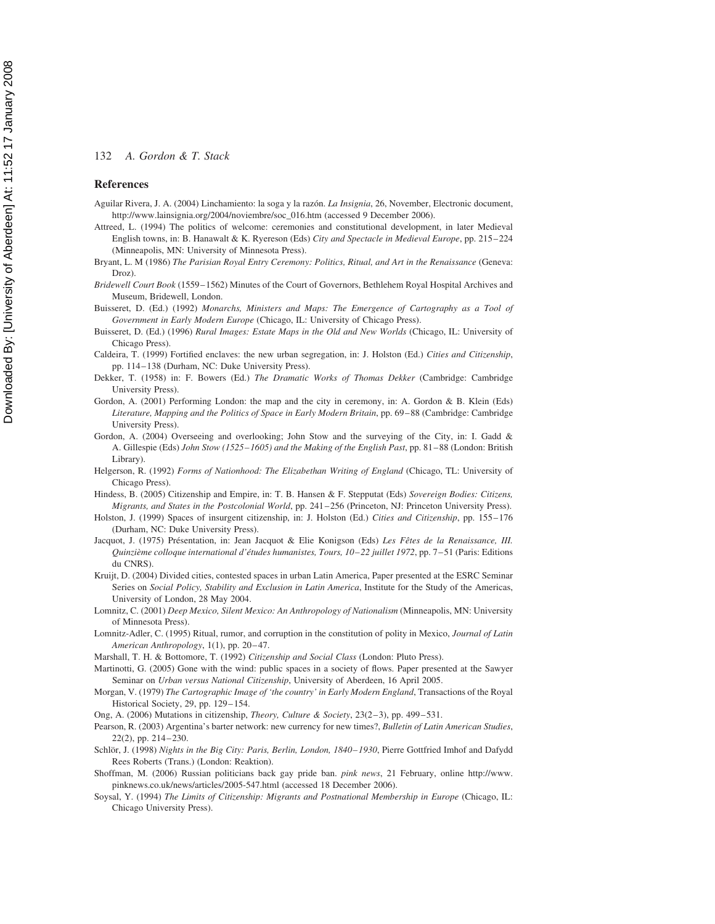#### References

- Aguilar Rivera, J. A. (2004) Linchamiento: la soga y la razón. La Insignia, 26, November, Electronic document, http://www.lainsignia.org/2004/noviembre/soc\_016.htm (accessed 9 December 2006).
- Attreed, L. (1994) The politics of welcome: ceremonies and constitutional development, in later Medieval English towns, in: B. Hanawalt & K. Ryereson (Eds) City and Spectacle in Medieval Europe, pp. 215–224 (Minneapolis, MN: University of Minnesota Press).
- Bryant, L. M (1986) The Parisian Royal Entry Ceremony: Politics, Ritual, and Art in the Renaissance (Geneva: Droz).
- Bridewell Court Book (1559–1562) Minutes of the Court of Governors, Bethlehem Royal Hospital Archives and Museum, Bridewell, London.
- Buisseret, D. (Ed.) (1992) Monarchs, Ministers and Maps: The Emergence of Cartography as a Tool of Government in Early Modern Europe (Chicago, IL: University of Chicago Press).
- Buisseret, D. (Ed.) (1996) Rural Images: Estate Maps in the Old and New Worlds (Chicago, IL: University of Chicago Press).
- Caldeira, T. (1999) Fortified enclaves: the new urban segregation, in: J. Holston (Ed.) Cities and Citizenship, pp. 114–138 (Durham, NC: Duke University Press).
- Dekker, T. (1958) in: F. Bowers (Ed.) The Dramatic Works of Thomas Dekker (Cambridge: Cambridge University Press).
- Gordon, A. (2001) Performing London: the map and the city in ceremony, in: A. Gordon & B. Klein (Eds) Literature, Mapping and the Politics of Space in Early Modern Britain, pp. 69–88 (Cambridge: Cambridge University Press).
- Gordon, A. (2004) Overseeing and overlooking; John Stow and the surveying of the City, in: I. Gadd & A. Gillespie (Eds) John Stow (1525–1605) and the Making of the English Past, pp. 81–88 (London: British Library).
- Helgerson, R. (1992) Forms of Nationhood: The Elizabethan Writing of England (Chicago, TL: University of Chicago Press).
- Hindess, B. (2005) Citizenship and Empire, in: T. B. Hansen & F. Stepputat (Eds) Sovereign Bodies: Citizens, Migrants, and States in the Postcolonial World, pp. 241–256 (Princeton, NJ: Princeton University Press).
- Holston, J. (1999) Spaces of insurgent citizenship, in: J. Holston (Ed.) Cities and Citizenship, pp. 155–176 (Durham, NC: Duke University Press).
- Jacquot, J. (1975) Présentation, in: Jean Jacquot & Elie Konigson (Eds) Les Fêtes de la Renaissance, III. Quinzième colloque international d'études humanistes, Tours, 10–22 juillet 1972, pp. 7–51 (Paris: Editions du CNRS).
- Kruijt, D. (2004) Divided cities, contested spaces in urban Latin America, Paper presented at the ESRC Seminar Series on Social Policy, Stability and Exclusion in Latin America, Institute for the Study of the Americas. University of London, 28 May 2004.
- Lomnitz, C. (2001) Deep Mexico, Silent Mexico: An Anthropology of Nationalism (Minneapolis, MN: University of Minnesota Press).
- Lomnitz-Adler, C. (1995) Ritual, rumor, and corruption in the constitution of polity in Mexico, Journal of Latin American Anthropology, 1(1), pp. 20–47.
- Marshall, T. H. & Bottomore, T. (1992) Citizenship and Social Class (London: Pluto Press).
- Martinotti, G. (2005) Gone with the wind: public spaces in a society of flows. Paper presented at the Sawyer Seminar on Urban versus National Citizenship, University of Aberdeen, 16 April 2005.
- Morgan, V. (1979) The Cartographic Image of 'the country' in Early Modern England, Transactions of the Royal Historical Society, 29, pp. 129–154.

Ong, A. (2006) Mutations in citizenship, Theory, Culture & Society, 23(2-3), pp. 499-531.

- Pearson, R. (2003) Argentina's barter network: new currency for new times?, Bulletin of Latin American Studies, 22(2), pp. 214–230.
- Schlör, J. (1998) Nights in the Big City: Paris, Berlin, London, 1840–1930, Pierre Gottfried Imhof and Dafydd Rees Roberts (Trans.) (London: Reaktion).
- Shoffman, M. (2006) Russian politicians back gay pride ban. pink news, 21 February, online http://www. pinknews.co.uk/news/articles/2005-547.html (accessed 18 December 2006).
- Soysal, Y. (1994) The Limits of Citizenship: Migrants and Postnational Membership in Europe (Chicago, IL: Chicago University Press).